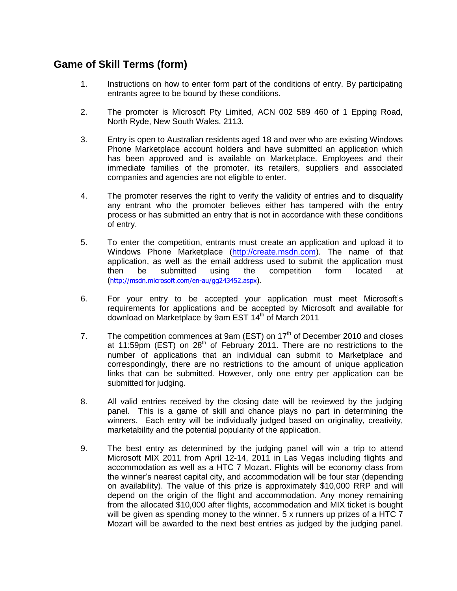## **Game of Skill Terms (form)**

- 1. Instructions on how to enter form part of the conditions of entry. By participating entrants agree to be bound by these conditions.
- 2. The promoter is Microsoft Pty Limited, ACN 002 589 460 of 1 Epping Road, North Ryde, New South Wales, 2113.
- 3. Entry is open to Australian residents aged 18 and over who are existing Windows Phone Marketplace account holders and have submitted an application which has been approved and is available on Marketplace. Employees and their immediate families of the promoter, its retailers, suppliers and associated companies and agencies are not eligible to enter.
- 4. The promoter reserves the right to verify the validity of entries and to disqualify any entrant who the promoter believes either has tampered with the entry process or has submitted an entry that is not in accordance with these conditions of entry.
- 5. To enter the competition, entrants must create an application and upload it to Windows Phone Marketplace [\(http://create.msdn.com\)](http://create.msdn.com/). The name of that application, as well as the email address used to submit the application must then be submitted using the competition form located at (<http://msdn.microsoft.com/en-au/gg243452.aspx>).
- 6. For your entry to be accepted your application must meet Microsoft's requirements for applications and be accepted by Microsoft and available for download on Marketplace by 9am EST 14th of March 2011
- 7. The competition commences at 9am (EST) on  $17<sup>th</sup>$  of December 2010 and closes at 11:59pm (EST) on 28<sup>th</sup> of February 2011. There are no restrictions to the number of applications that an individual can submit to Marketplace and correspondingly, there are no restrictions to the amount of unique application links that can be submitted. However, only one entry per application can be submitted for judging.
- 8. All valid entries received by the closing date will be reviewed by the judging panel. This is a game of skill and chance plays no part in determining the winners. Each entry will be individually judged based on originality, creativity, marketability and the potential popularity of the application.
- 9. The best entry as determined by the judging panel will win a trip to attend Microsoft MIX 2011 from April 12-14, 2011 in Las Vegas including flights and accommodation as well as a HTC 7 Mozart. Flights will be economy class from the winner's nearest capital city, and accommodation will be four star (depending on availability). The value of this prize is approximately \$10,000 RRP and will depend on the origin of the flight and accommodation. Any money remaining from the allocated \$10,000 after flights, accommodation and MIX ticket is bought will be given as spending money to the winner. 5 x runners up prizes of a HTC 7 Mozart will be awarded to the next best entries as judged by the judging panel.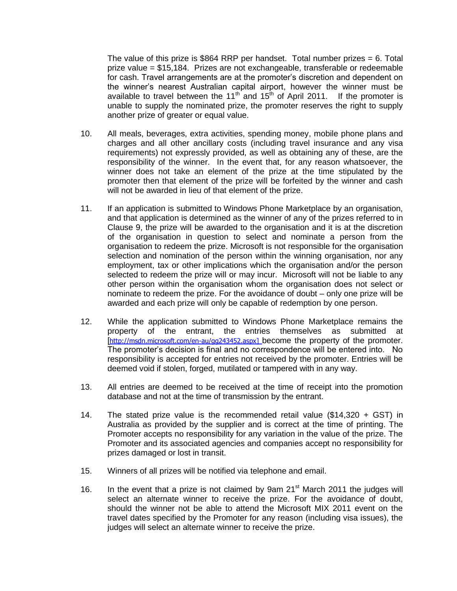The value of this prize is \$864 RRP per handset. Total number prizes  $= 6$ . Total prize value = \$15,184. Prizes are not exchangeable, transferable or redeemable for cash. Travel arrangements are at the promoter's discretion and dependent on the winner's nearest Australian capital airport, however the winner must be available to travel between the 11<sup>th</sup> and 15<sup>th</sup> of April 2011. If the promoter is unable to supply the nominated prize, the promoter reserves the right to supply another prize of greater or equal value.

- 10. All meals, beverages, extra activities, spending money, mobile phone plans and charges and all other ancillary costs (including travel insurance and any visa requirements) not expressly provided, as well as obtaining any of these, are the responsibility of the winner. In the event that, for any reason whatsoever, the winner does not take an element of the prize at the time stipulated by the promoter then that element of the prize will be forfeited by the winner and cash will not be awarded in lieu of that element of the prize.
- 11. If an application is submitted to Windows Phone Marketplace by an organisation, and that application is determined as the winner of any of the prizes referred to in Clause 9, the prize will be awarded to the organisation and it is at the discretion of the organisation in question to select and nominate a person from the organisation to redeem the prize. Microsoft is not responsible for the organisation selection and nomination of the person within the winning organisation, nor any employment, tax or other implications which the organisation and/or the person selected to redeem the prize will or may incur. Microsoft will not be liable to any other person within the organisation whom the organisation does not select or nominate to redeem the prize. For the avoidance of doubt – only one prize will be awarded and each prize will only be capable of redemption by one person.
- 12. While the application submitted to Windows Phone Marketplace remains the property of the entrant, the entries themselves as submitted at [[http://msdn.microsoft.com/en-au/gg243452.aspx\]](http://msdn.microsoft.com/en-au/gg243452.aspx) become the property of the promoter. The promoter's decision is final and no correspondence will be entered into. No responsibility is accepted for entries not received by the promoter. Entries will be deemed void if stolen, forged, mutilated or tampered with in any way.
- 13. All entries are deemed to be received at the time of receipt into the promotion database and not at the time of transmission by the entrant.
- 14. The stated prize value is the recommended retail value (\$14,320 + GST) in Australia as provided by the supplier and is correct at the time of printing. The Promoter accepts no responsibility for any variation in the value of the prize. The Promoter and its associated agencies and companies accept no responsibility for prizes damaged or lost in transit.
- 15. Winners of all prizes will be notified via telephone and email.
- 16. In the event that a prize is not claimed by 9am  $21^{st}$  March 2011 the judges will select an alternate winner to receive the prize. For the avoidance of doubt, should the winner not be able to attend the Microsoft MIX 2011 event on the travel dates specified by the Promoter for any reason (including visa issues), the judges will select an alternate winner to receive the prize.